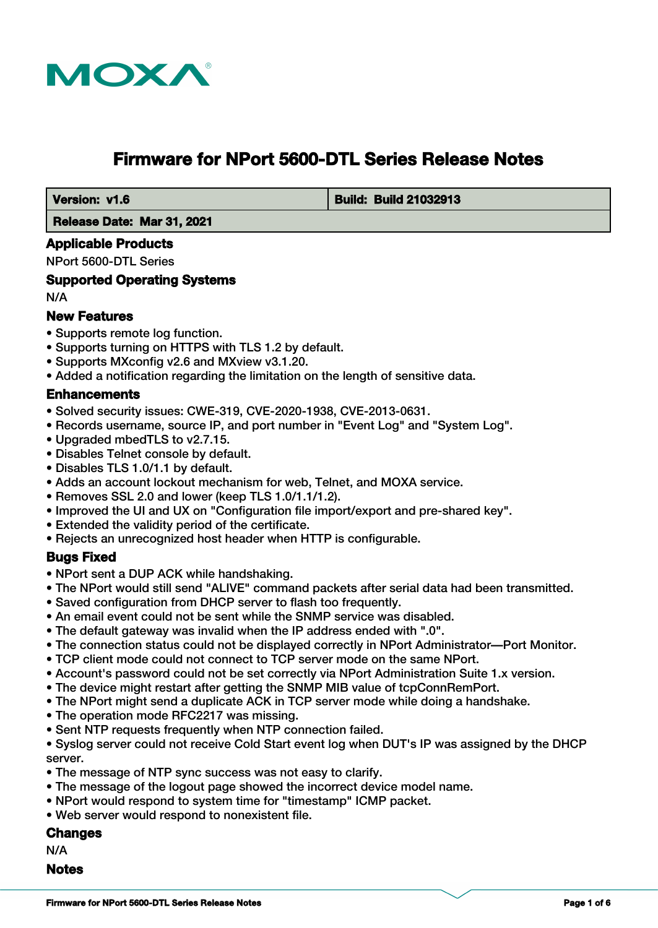

# **Firmware for NPort 5600-DTL Series Release Notes**

 **Version: v1.6 Build: Build: Build: Build 21032913** 

 **Release Date: Mar 31, 2021**

## **Applicable Products**

NPort 5600-DTL Series

## **Supported Operating Systems**

N/A

## **New Features**

- Supports remote log function.
- Supports turning on HTTPS with TLS 1.2 by default.
- Supports MXconfig v2.6 and MXview v3.1.20.
- Added a notification regarding the limitation on the length of sensitive data.

# **Enhancements**

- Solved security issues: CWE-319, CVE-2020-1938, CVE-2013-0631.
- Records username, source IP, and port number in "Event Log" and "System Log".
- Upgraded mbedTLS to v2.7.15.
- Disables Telnet console by default.
- Disables TLS 1.0/1.1 by default.
- Adds an account lockout mechanism for web, Telnet, and MOXA service.
- Removes SSL 2.0 and lower (keep TLS 1.0/1.1/1.2).
- Improved the UI and UX on "Configuration file import/export and pre-shared key".
- Extended the validity period of the certificate.
- Rejects an unrecognized host header when HTTP is configurable.

#### **Bugs Fixed**

- NPort sent a DUP ACK while handshaking.
- The NPort would still send "ALIVE" command packets after serial data had been transmitted.
- Saved configuration from DHCP server to flash too frequently.
- An email event could not be sent while the SNMP service was disabled.
- The default gateway was invalid when the IP address ended with ".0".
- The connection status could not be displayed correctly in NPort Administrator—Port Monitor.
- TCP client mode could not connect to TCP server mode on the same NPort.
- Account's password could not be set correctly via NPort Administration Suite 1.x version.
- The device might restart after getting the SNMP MIB value of tcpConnRemPort.
- The NPort might send a duplicate ACK in TCP server mode while doing a handshake.
- The operation mode RFC2217 was missing.
- Sent NTP requests frequently when NTP connection failed.
- Syslog server could not receive Cold Start event log when DUT's IP was assigned by the DHCP server.
- The message of NTP sync success was not easy to clarify.
- The message of the logout page showed the incorrect device model name.
- NPort would respond to system time for "timestamp" ICMP packet.
- Web server would respond to nonexistent file.

## **Changes**

N/A

#### **Notes**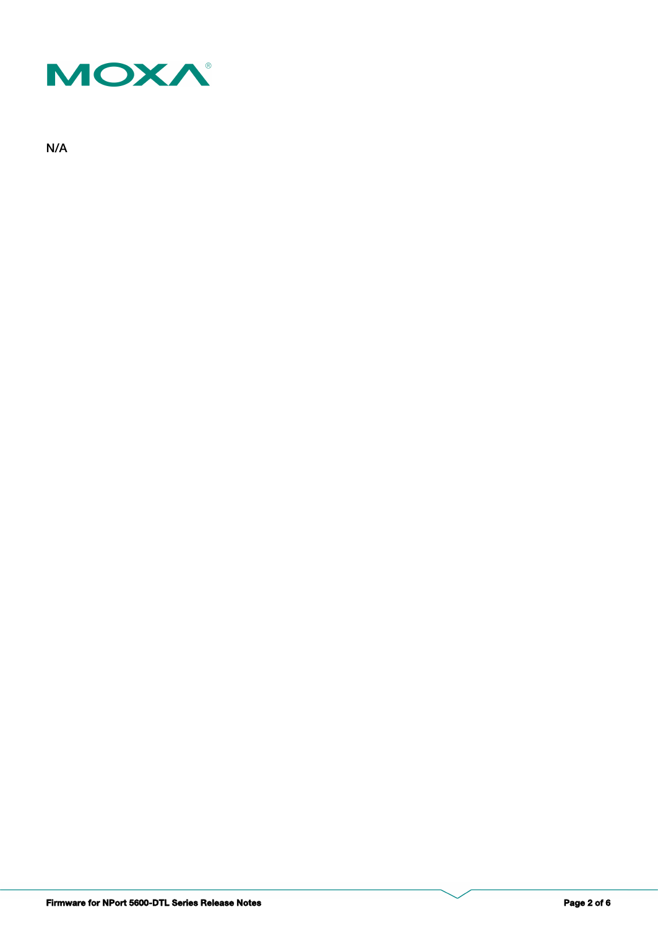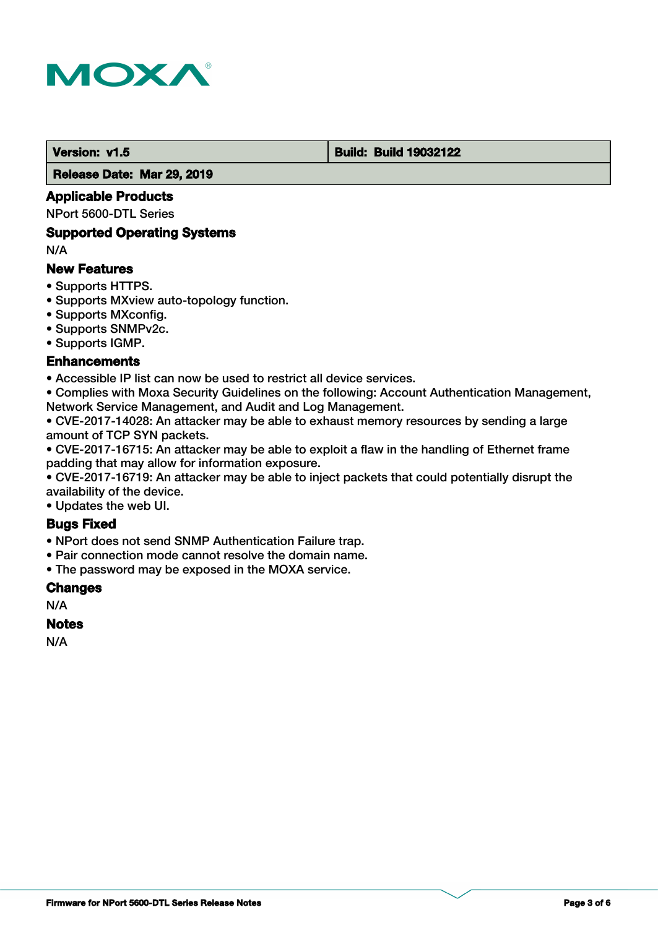

#### **Version: v1.5 Build: Build: Build 19032122**

 **Release Date: Mar 29, 2019**

## **Applicable Products**

NPort 5600-DTL Series

#### **Supported Operating Systems**

N/A

## **New Features**

- Supports HTTPS.
- Supports MXview auto-topology function.
- Supports MXconfig.
- Supports SNMPv2c.
- Supports IGMP.

## **Enhancements**

• Accessible IP list can now be used to restrict all device services.

• Complies with Moxa Security Guidelines on the following: Account Authentication Management, Network Service Management, and Audit and Log Management.

• CVE-2017-14028: An attacker may be able to exhaust memory resources by sending a large amount of TCP SYN packets.

• CVE-2017-16715: An attacker may be able to exploit a flaw in the handling of Ethernet frame padding that may allow for information exposure.

• CVE-2017-16719: An attacker may be able to inject packets that could potentially disrupt the availability of the device.

• Updates the web UI.

# **Bugs Fixed**

- NPort does not send SNMP Authentication Failure trap.
- Pair connection mode cannot resolve the domain name.
- The password may be exposed in the MOXA service.

#### **Changes**

N/A

#### **Notes**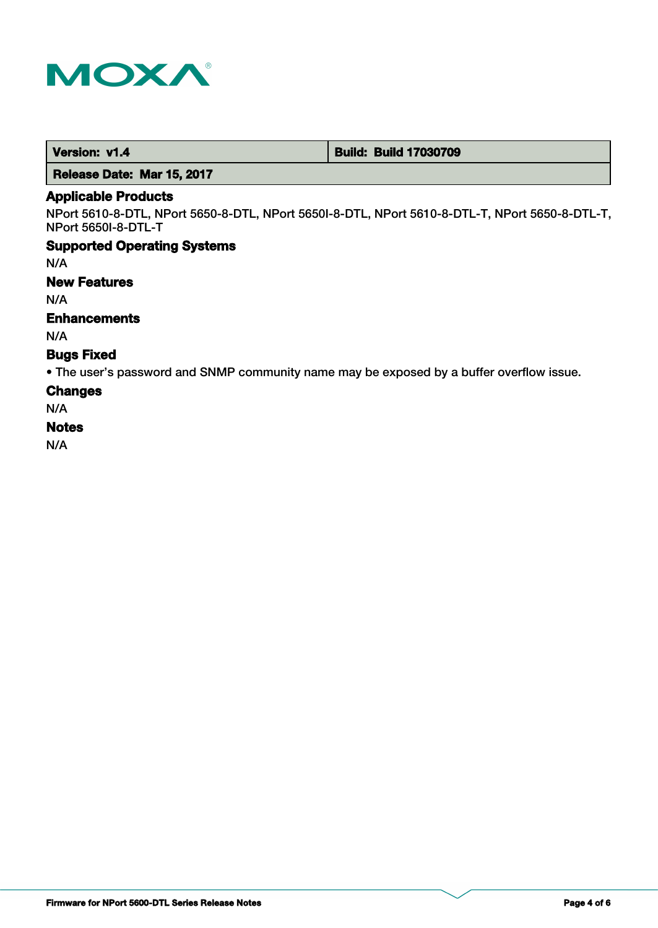

 **Version: v1.4 Build: Build: Build 17030709** 

 **Release Date: Mar 15, 2017**

## **Applicable Products**

NPort 5610-8-DTL, NPort 5650-8-DTL, NPort 5650I-8-DTL, NPort 5610-8-DTL-T, NPort 5650-8-DTL-T, NPort 5650I-8-DTL-T

#### **Supported Operating Systems**

N/A

#### **New Features**

N/A

## **Enhancements**

N/A

## **Bugs Fixed**

• The user's password and SNMP community name may be exposed by a buffer overflow issue.

#### **Changes**

N/A

#### **Notes**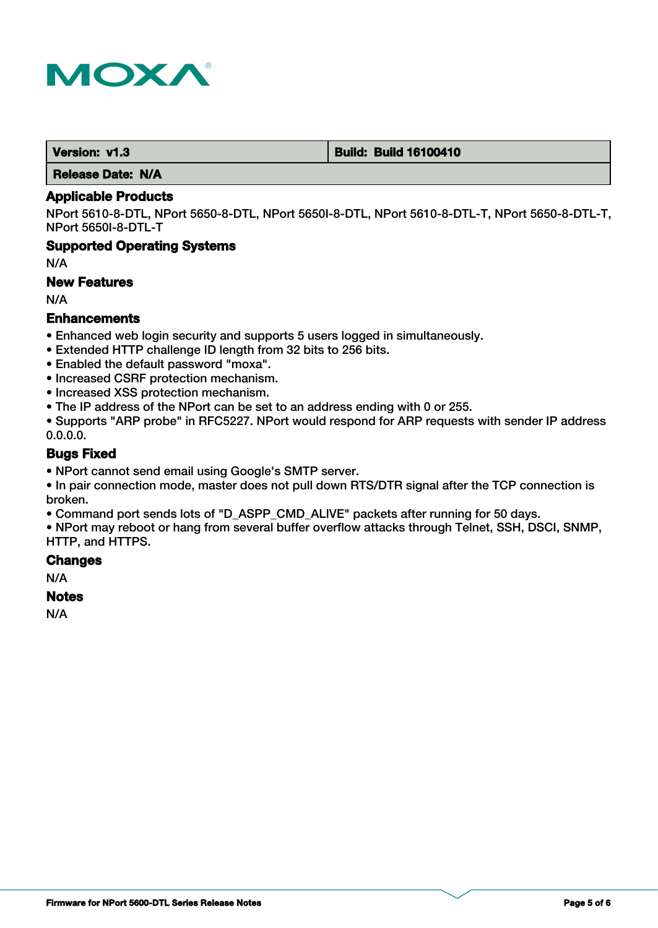

 **Version: v1.3 Build: Build: Build 16100410** 

 **Release Date: N/A**

#### **Applicable Products**

NPort 5610-8-DTL, NPort 5650-8-DTL, NPort 5650I-8-DTL, NPort 5610-8-DTL-T, NPort 5650-8-DTL-T, NPort 5650I-8-DTL-T

## **Supported Operating Systems**

N/A

#### **New Features**

N/A

# **Enhancements**

- Enhanced web login security and supports 5 users logged in simultaneously.
- Extended HTTP challenge ID length from 32 bits to 256 bits.
- Enabled the default password "moxa".
- Increased CSRF protection mechanism.
- Increased XSS protection mechanism.
- The IP address of the NPort can be set to an address ending with 0 or 255.

• Supports "ARP probe" in RFC5227. NPort would respond for ARP requests with sender IP address 0.0.0.0.

## **Bugs Fixed**

• NPort cannot send email using Google's SMTP server.

• In pair connection mode, master does not pull down RTS/DTR signal after the TCP connection is broken.

• Command port sends lots of "D\_ASPP\_CMD\_ALIVE" packets after running for 50 days.

• NPort may reboot or hang from several buffer overflow attacks through Telnet, SSH, DSCI, SNMP, HTTP, and HTTPS.

## **Changes**

N/A

#### **Notes**